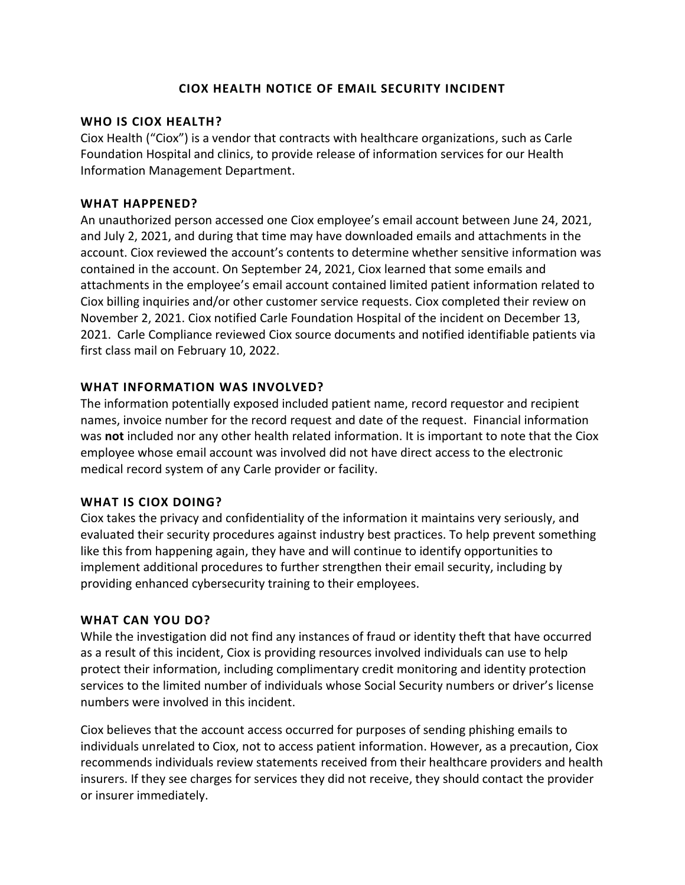### **CIOX HEALTH NOTICE OF EMAIL SECURITY INCIDENT**

### **WHO IS CIOX HEALTH?**

Ciox Health ("Ciox") is a vendor that contracts with healthcare organizations, such as Carle Foundation Hospital and clinics, to provide release of information services for our Health Information Management Department.

### **WHAT HAPPENED?**

An unauthorized person accessed one Ciox employee's email account between June 24, 2021, and July 2, 2021, and during that time may have downloaded emails and attachments in the account. Ciox reviewed the account's contents to determine whether sensitive information was contained in the account. On September 24, 2021, Ciox learned that some emails and attachments in the employee's email account contained limited patient information related to Ciox billing inquiries and/or other customer service requests. Ciox completed their review on November 2, 2021. Ciox notified Carle Foundation Hospital of the incident on December 13, 2021. Carle Compliance reviewed Ciox source documents and notified identifiable patients via first class mail on February 10, 2022.

# **WHAT INFORMATION WAS INVOLVED?**

The information potentially exposed included patient name, record requestor and recipient names, invoice number for the record request and date of the request. Financial information was **not** included nor any other health related information. It is important to note that the Ciox employee whose email account was involved did not have direct access to the electronic medical record system of any Carle provider or facility.

### **WHAT IS CIOX DOING?**

Ciox takes the privacy and confidentiality of the information it maintains very seriously, and evaluated their security procedures against industry best practices. To help prevent something like this from happening again, they have and will continue to identify opportunities to implement additional procedures to further strengthen their email security, including by providing enhanced cybersecurity training to their employees.

### **WHAT CAN YOU DO?**

While the investigation did not find any instances of fraud or identity theft that have occurred as a result of this incident, Ciox is providing resources involved individuals can use to help protect their information, including complimentary credit monitoring and identity protection services to the limited number of individuals whose Social Security numbers or driver's license numbers were involved in this incident.

Ciox believes that the account access occurred for purposes of sending phishing emails to individuals unrelated to Ciox, not to access patient information. However, as a precaution, Ciox recommends individuals review statements received from their healthcare providers and health insurers. If they see charges for services they did not receive, they should contact the provider or insurer immediately.